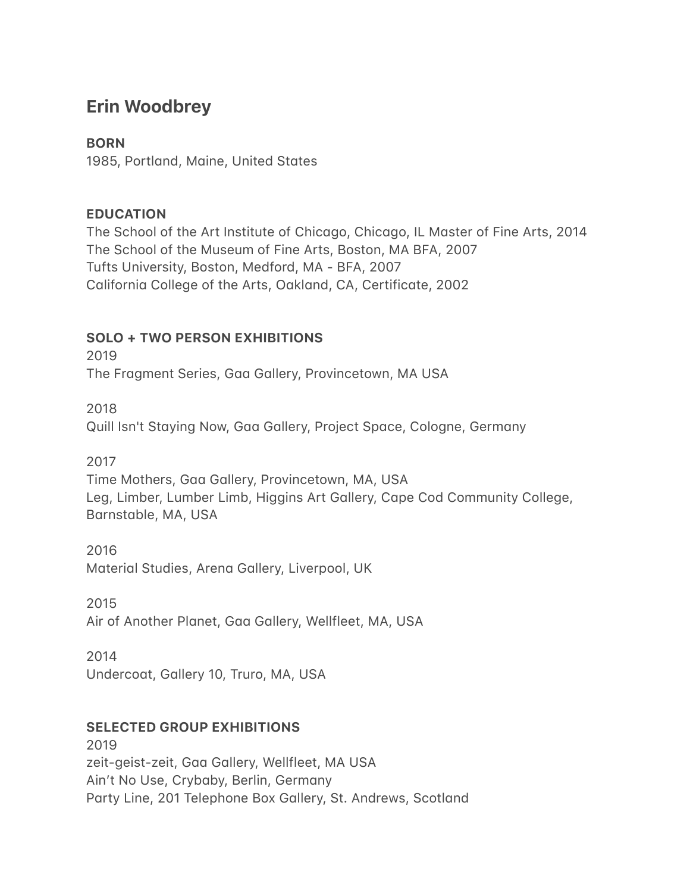# **Erin Woodbrey**

### **BORN**

1985, Portland, Maine, United States

#### **EDUCATION**

The School of the Art Institute of Chicago, Chicago, IL Master of Fine Arts, 2014 The School of the Museum of Fine Arts, Boston, MA BFA, 2007 Tufts University, Boston, Medford, MA - BFA, 2007 California College of the Arts, Oakland, CA, Certificate, 2002

### **SOLO + TWO PERSON EXHIBITIONS**

2019 The Fragment Series, Gaa Gallery, Provincetown, MA USA

2018

Quill Isn't Staying Now, Gaa Gallery, Project Space, Cologne, Germany

2017

Time Mothers, Gaa Gallery, Provincetown, MA, USA Leg, Limber, Lumber Limb, Higgins Art Gallery, Cape Cod Community College, Barnstable, MA, USA

2016 Material Studies, Arena Gallery, Liverpool, UK

2015 Air of Another Planet, Gaa Gallery, Wellfleet, MA, USA

2014

Undercoat, Gallery 10, Truro, MA, USA

### **SELECTED GROUP EXHIBITIONS**

2019 zeit-geist-zeit, Gaa Gallery, Wellfleet, MA USA Ain't No Use, Crybaby, Berlin, Germany Party Line, 201 Telephone Box Gallery, St. Andrews, Scotland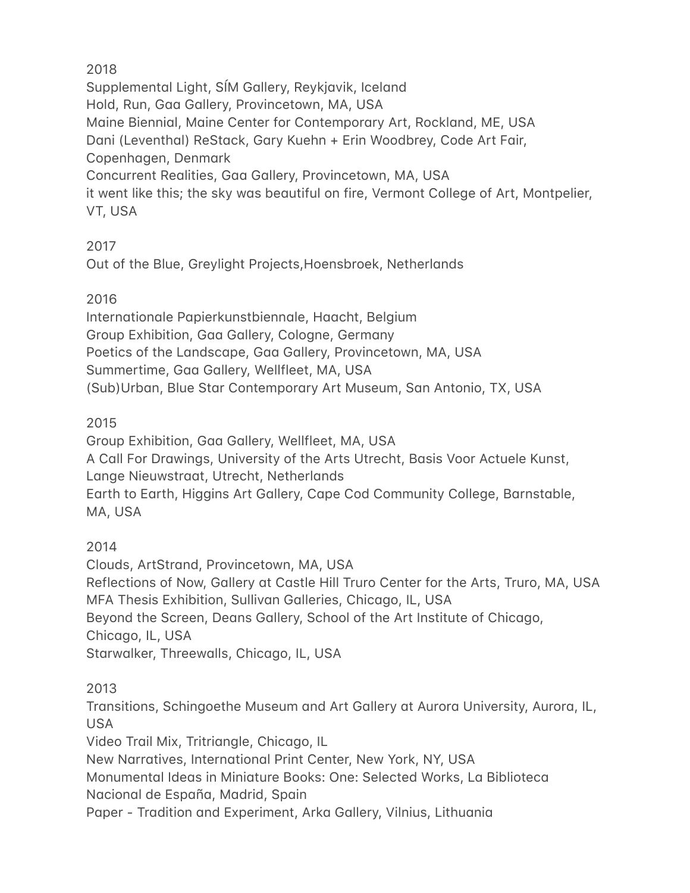### 2018

Supplemental Light, SÍM Gallery, Reykjavik, Iceland Hold, Run, Gaa Gallery, Provincetown, MA, USA Maine Biennial, Maine Center for Contemporary Art, Rockland, ME, USA Dani (Leventhal) ReStack, Gary Kuehn + Erin Woodbrey, Code Art Fair, Copenhagen, Denmark Concurrent Realities, Gaa Gallery, Provincetown, MA, USA it went like this; the sky was beautiful on fire, Vermont College of Art, Montpelier, VT, USA

### 2017

Out of the Blue, Greylight Projects, Hoensbroek, Netherlands

## 2016

Internationale Papierkunstbiennale, Haacht, Belgium Group Exhibition, Gaa Gallery, Cologne, Germany Poetics of the Landscape, Gaa Gallery, Provincetown, MA, USA Summertime, Gaa Gallery, Wellfleet, MA, USA (Sub)Urban, Blue Star Contemporary Art Museum, San Antonio, TX, USA

## 2015

Group Exhibition, Gaa Gallery, Wellfleet, MA, USA A Call For Drawings, University of the Arts Utrecht, Basis Voor Actuele Kunst, Lange Nieuwstraat, Utrecht, Netherlands Earth to Earth, Higgins Art Gallery, Cape Cod Community College, Barnstable, MA, USA

# 2014

Clouds, ArtStrand, Provincetown, MA, USA Reflections of Now, Gallery at Castle Hill Truro Center for the Arts, Truro, MA, USA MFA Thesis Exhibition, Sullivan Galleries, Chicago, IL, USA Beyond the Screen, Deans Gallery, School of the Art Institute of Chicago, Chicago, IL, USA Starwalker, Threewalls, Chicago, IL, USA

# 2013

Transitions, Schingoethe Museum and Art Gallery at Aurora University, Aurora, IL, USA

Video Trail Mix, Tritriangle, Chicago, IL

New Narratives, International Print Center, New York, NY, USA

Monumental Ideas in Miniature Books: One: Selected Works, La Biblioteca Nacional de España, Madrid, Spain

Paper - Tradition and Experiment, Arka Gallery, Vilnius, Lithuania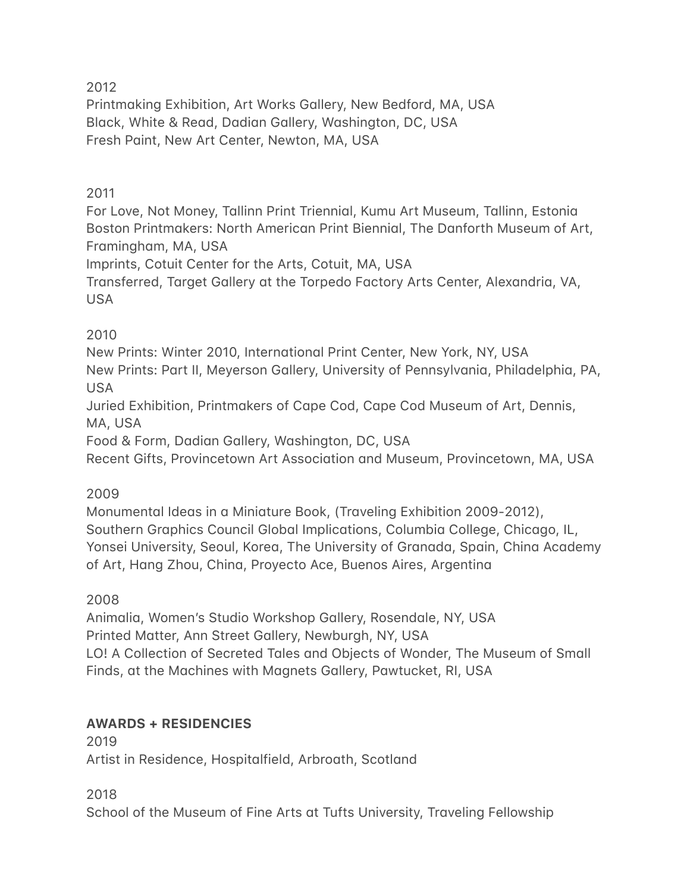2012

Printmaking Exhibition, Art Works Gallery, New Bedford, MA, USA Black, White & Read, Dadian Gallery, Washington, DC, USA Fresh Paint, New Art Center, Newton, MA, USA

### 2011

For Love, Not Money, Tallinn Print Triennial, Kumu Art Museum, Tallinn, Estonia Boston Printmakers: North American Print Biennial, The Danforth Museum of Art, Framingham, MA, USA

Imprints, Cotuit Center for the Arts, Cotuit, MA, USA

Transferred, Target Gallery at the Torpedo Factory Arts Center, Alexandria, VA, USA

### 2010

New Prints: Winter 2010, International Print Center, New York, NY, USA New Prints: Part II, Meyerson Gallery, University of Pennsylvania, Philadelphia, PA, USA

Juried Exhibition, Printmakers of Cape Cod, Cape Cod Museum of Art, Dennis, MA, USA

Food & Form, Dadian Gallery, Washington, DC, USA

Recent Gifts, Provincetown Art Association and Museum, Provincetown, MA, USA

### 2009

Monumental Ideas in a Miniature Book, (Traveling Exhibition 2009-2012), Southern Graphics Council Global Implications, Columbia College, Chicago, IL, Yonsei University, Seoul, Korea, The University of Granada, Spain, China Academy of Art, Hang Zhou, China, Proyecto Ace, Buenos Aires, Argenting

### 2008

Animalia, Women's Studio Workshop Gallery, Rosendale, NY, USA Printed Matter, Ann Street Gallery, Newburgh, NY, USA LO! A Collection of Secreted Tales and Objects of Wonder, The Museum of Small Finds, at the Machines with Magnets Gallery, Pawtucket, RI, USA

### **AWARDS + RESIDENCIES**

2019 Artist in Residence, Hospitalfield, Arbroath, Scotland

2018 School of the Museum of Fine Arts at Tufts University, Traveling Fellowship